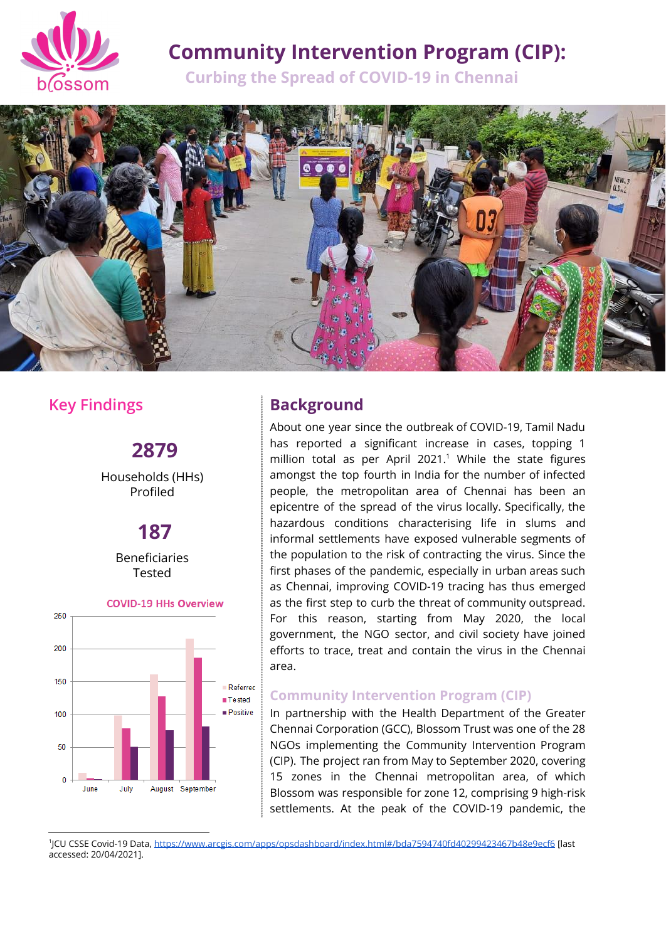

# **Community Intervention Program (CIP):**

**Curbing the Spread of COVID-19 in Chennai**



# **Key Findings**

# **2879**

Households (HHs) Profiled

**187**

Beneficiaries Tested



# **Background**

About one year since the outbreak of COVID-19, Tamil Nadu has reported a significant increase in cases, topping 1 million total as per April 2021.<sup>1</sup> While the state figures amongst the top fourth in India for the number of infected people, the metropolitan area of Chennai has been an epicentre of the spread of the virus locally. Specifically, the hazardous conditions characterising life in slums and informal settlements have exposed vulnerable segments of the population to the risk of contracting the virus. Since the first phases of the pandemic, especially in urban areas such as Chennai, improving COVID-19 tracing has thus emerged as the first step to curb the threat of community outspread. For this reason, starting from May 2020, the local government, the NGO sector, and civil society have joined efforts to trace, treat and contain the virus in the Chennai area.

## **Community Intervention Program (CIP)**

In partnership with the Health Department of the Greater Chennai Corporation (GCC), Blossom Trust was one of the 28 NGOs implementing the Community Intervention Program (CIP). The project ran from May to September 2020, covering 15 zones in the Chennai metropolitan area, of which Blossom was responsible for zone 12, comprising 9 high-risk settlements. At the peak of the COVID-19 pandemic, the

1 JCU CSSE Covid-19 Data, <https://www.arcgis.com/apps/opsdashboard/index.html#/bda7594740fd40299423467b48e9ecf6> [last accessed: 20/04/2021].